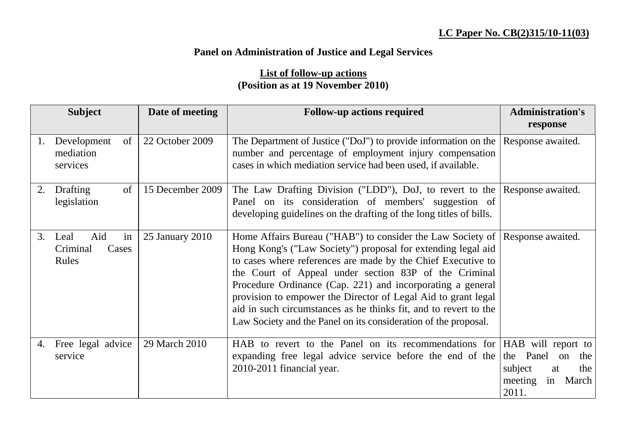## **Panel on Administration of Justice and Legal Services**

## **List of follow-up actions (Position as at 19 November 2010)**

|    | <b>Subject</b>                                  | Date of meeting  | <b>Follow-up actions required</b>                                                                                                                                                                                                                                                                                                                                                                                                                                                                                                           | <b>Administration's</b>                                                                                    |
|----|-------------------------------------------------|------------------|---------------------------------------------------------------------------------------------------------------------------------------------------------------------------------------------------------------------------------------------------------------------------------------------------------------------------------------------------------------------------------------------------------------------------------------------------------------------------------------------------------------------------------------------|------------------------------------------------------------------------------------------------------------|
|    |                                                 |                  |                                                                                                                                                                                                                                                                                                                                                                                                                                                                                                                                             | response                                                                                                   |
| 1. | Development<br>of<br>mediation<br>services      | 22 October 2009  | The Department of Justice ("DoJ") to provide information on the<br>number and percentage of employment injury compensation<br>cases in which mediation service had been used, if available.                                                                                                                                                                                                                                                                                                                                                 | Response awaited.                                                                                          |
| 2. | Drafting<br>of<br>legislation                   | 15 December 2009 | The Law Drafting Division ("LDD"), DoJ, to revert to the<br>Panel on its consideration of members' suggestion of<br>developing guidelines on the drafting of the long titles of bills.                                                                                                                                                                                                                                                                                                                                                      | Response awaited.                                                                                          |
| 3. | in<br>Aid<br>Leal<br>Criminal<br>Cases<br>Rules | 25 January 2010  | Home Affairs Bureau ("HAB") to consider the Law Society of Response awaited.<br>Hong Kong's ("Law Society") proposal for extending legal aid<br>to cases where references are made by the Chief Executive to<br>the Court of Appeal under section 83P of the Criminal<br>Procedure Ordinance (Cap. 221) and incorporating a general<br>provision to empower the Director of Legal Aid to grant legal<br>aid in such circumstances as he thinks fit, and to revert to the<br>Law Society and the Panel on its consideration of the proposal. |                                                                                                            |
| 4. | Free legal advice<br>service                    | 29 March 2010    | HAB to revert to the Panel on its recommendations for<br>expanding free legal advice service before the end of the<br>2010-2011 financial year.                                                                                                                                                                                                                                                                                                                                                                                             | HAB will report to<br>Panel<br>the<br>the<br>on<br>subject<br>the<br>at<br>meeting<br>in<br>March<br>2011. |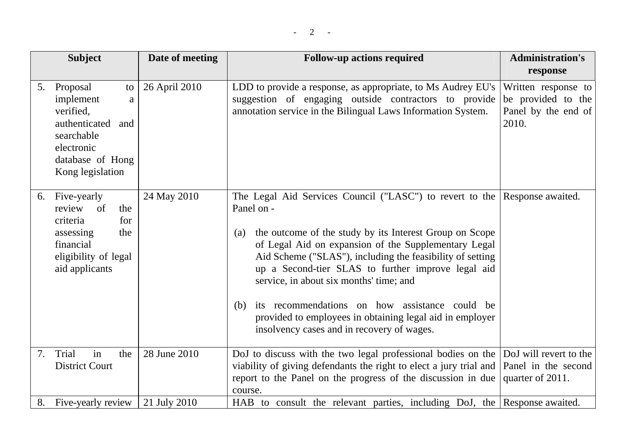|    | <b>Subject</b>                                                                                                                         | Date of meeting | <b>Follow-up actions required</b>                                                                                                                                                                                                                                                                                                                                                                                                                                                                                                 | <b>Administration's</b><br>response                                       |
|----|----------------------------------------------------------------------------------------------------------------------------------------|-----------------|-----------------------------------------------------------------------------------------------------------------------------------------------------------------------------------------------------------------------------------------------------------------------------------------------------------------------------------------------------------------------------------------------------------------------------------------------------------------------------------------------------------------------------------|---------------------------------------------------------------------------|
| 5. | Proposal<br>to<br>implement<br>a<br>verified,<br>authenticated and<br>searchable<br>electronic<br>database of Hong<br>Kong legislation | 26 April 2010   | LDD to provide a response, as appropriate, to Ms Audrey EU's<br>suggestion of engaging outside contractors to provide<br>annotation service in the Bilingual Laws Information System.                                                                                                                                                                                                                                                                                                                                             | Written response to<br>be provided to the<br>Panel by the end of<br>2010. |
|    | 6. Five-yearly<br>of<br>review<br>the<br>for<br>criteria<br>assessing<br>the<br>financial<br>eligibility of legal<br>aid applicants    | 24 May 2010     | The Legal Aid Services Council ("LASC") to revert to the<br>Panel on -<br>the outcome of the study by its Interest Group on Scope<br>(a)<br>of Legal Aid on expansion of the Supplementary Legal<br>Aid Scheme ("SLAS"), including the feasibility of setting<br>up a Second-tier SLAS to further improve legal aid<br>service, in about six months' time; and<br>its recommendations on how assistance could be<br>(b)<br>provided to employees in obtaining legal aid in employer<br>insolvency cases and in recovery of wages. | Response awaited.                                                         |
| 7. | in<br>Trial<br>the<br><b>District Court</b>                                                                                            | 28 June 2010    | DoJ to discuss with the two legal professional bodies on the<br>viability of giving defendants the right to elect a jury trial and<br>report to the Panel on the progress of the discussion in due<br>course.                                                                                                                                                                                                                                                                                                                     | DoJ will revert to the<br>Panel in the second<br>quarter of 2011.         |
| 8. | Five-yearly review                                                                                                                     | 21 July 2010    | HAB to consult the relevant parties, including DoJ, the Response awaited.                                                                                                                                                                                                                                                                                                                                                                                                                                                         |                                                                           |